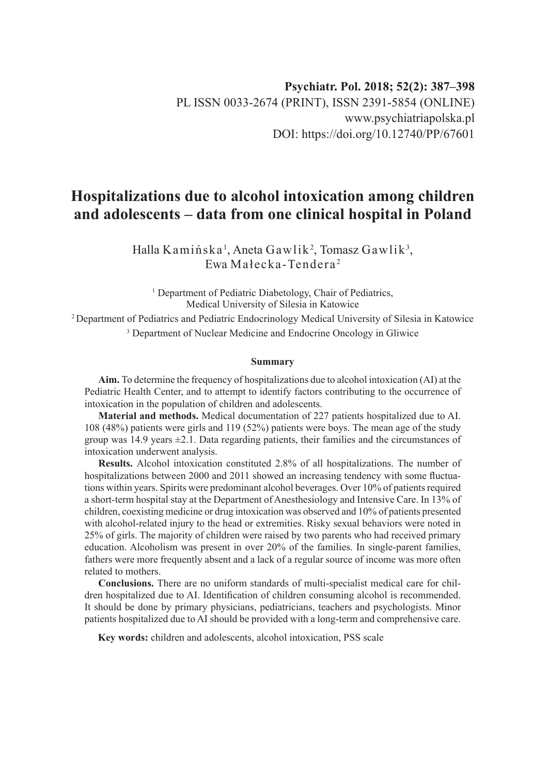# **Hospitalizations due to alcohol intoxication among children and adolescents – data from one clinical hospital in Poland**

Halla Kamińska $^1$ , Aneta Gawlik $^2$ , Tomasz Gawlik $^3$ , Ewa Małecka-Tendera <sup>2</sup>

<sup>1</sup> Department of Pediatric Diabetology, Chair of Pediatrics, Medical University of Silesia in Katowice

2 Department of Pediatrics and Pediatric Endocrinology Medical University of Silesia in Katowice 3 Department of Nuclear Medicine and Endocrine Oncology in Gliwice

#### **Summary**

**Aim.** To determine the frequency of hospitalizations due to alcohol intoxication (AI) at the Pediatric Health Center, and to attempt to identify factors contributing to the occurrence of intoxication in the population of children and adolescents.

**Material and methods.** Medical documentation of 227 patients hospitalized due to AI. 108 (48%) patients were girls and 119 (52%) patients were boys. The mean age of the study group was  $14.9$  years  $\pm 2.1$ . Data regarding patients, their families and the circumstances of intoxication underwent analysis.

**Results.** Alcohol intoxication constituted 2.8% of all hospitalizations. The number of hospitalizations between 2000 and 2011 showed an increasing tendency with some fluctuations within years. Spirits were predominant alcohol beverages. Over 10% of patients required a short-term hospital stay at the Department of Anesthesiology and Intensive Care. In 13% of children, coexisting medicine or drug intoxication was observed and 10% of patients presented with alcohol-related injury to the head or extremities. Risky sexual behaviors were noted in 25% of girls. The majority of children were raised by two parents who had received primary education. Alcoholism was present in over 20% of the families. In single-parent families, fathers were more frequently absent and a lack of a regular source of income was more often related to mothers.

**Conclusions.** There are no uniform standards of multi-specialist medical care for children hospitalized due to AI. Identification of children consuming alcohol is recommended. It should be done by primary physicians, pediatricians, teachers and psychologists. Minor patients hospitalized due to AI should be provided with a long-term and comprehensive care.

**Key words:** children and adolescents, alcohol intoxication, PSS scale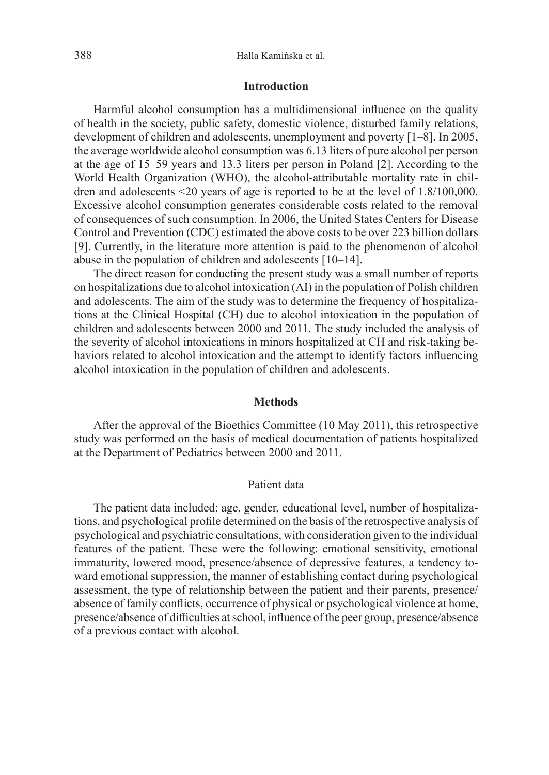# **Introduction**

Harmful alcohol consumption has a multidimensional influence on the quality of health in the society, public safety, domestic violence, disturbed family relations, development of children and adolescents, unemployment and poverty [1–8]. In 2005, the average worldwide alcohol consumption was 6.13 liters of pure alcohol per person at the age of 15–59 years and 13.3 liters per person in Poland [2]. According to the World Health Organization (WHO), the alcohol-attributable mortality rate in children and adolescents <20 years of age is reported to be at the level of 1.8/100,000. Excessive alcohol consumption generates considerable costs related to the removal of consequences of such consumption. In 2006, the United States Centers for Disease Control and Prevention (CDC) estimated the above costs to be over 223 billion dollars [9]. Currently, in the literature more attention is paid to the phenomenon of alcohol abuse in the population of children and adolescents [10–14].

The direct reason for conducting the present study was a small number of reports on hospitalizations due to alcohol intoxication (AI) in the population of Polish children and adolescents. The aim of the study was to determine the frequency of hospitalizations at the Clinical Hospital (CH) due to alcohol intoxication in the population of children and adolescents between 2000 and 2011. The study included the analysis of the severity of alcohol intoxications in minors hospitalized at CH and risk-taking behaviors related to alcohol intoxication and the attempt to identify factors influencing alcohol intoxication in the population of children and adolescents.

# **Methods**

After the approval of the Bioethics Committee (10 May 2011), this retrospective study was performed on the basis of medical documentation of patients hospitalized at the Department of Pediatrics between 2000 and 2011.

# Patient data

The patient data included: age, gender, educational level, number of hospitalizations, and psychological profile determined on the basis of the retrospective analysis of psychological and psychiatric consultations, with consideration given to the individual features of the patient. These were the following: emotional sensitivity, emotional immaturity, lowered mood, presence/absence of depressive features, a tendency toward emotional suppression, the manner of establishing contact during psychological assessment, the type of relationship between the patient and their parents, presence/ absence of family conflicts, occurrence of physical or psychological violence at home, presence/absence of difficulties at school, influence of the peer group, presence/absence of a previous contact with alcohol.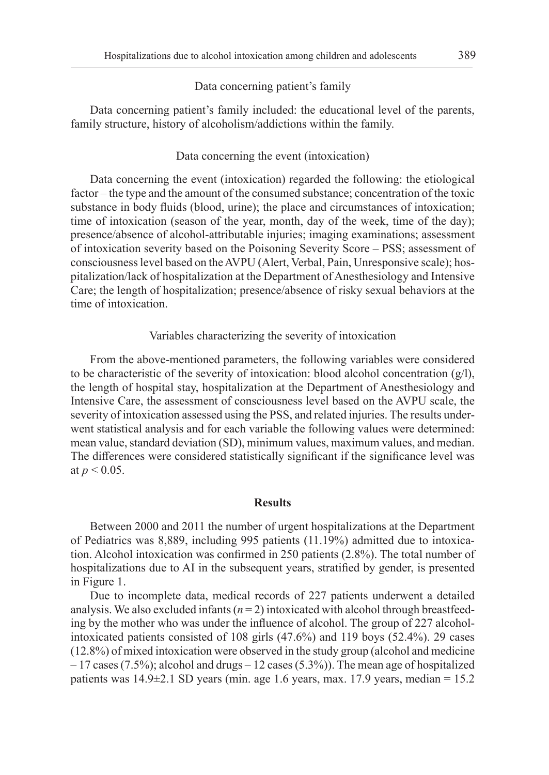#### Data concerning patient's family

Data concerning patient's family included: the educational level of the parents, family structure, history of alcoholism/addictions within the family.

# Data concerning the event (intoxication)

Data concerning the event (intoxication) regarded the following: the etiological factor – the type and the amount of the consumed substance; concentration of the toxic substance in body fluids (blood, urine); the place and circumstances of intoxication; time of intoxication (season of the year, month, day of the week, time of the day); presence/absence of alcohol-attributable injuries; imaging examinations; assessment of intoxication severity based on the Poisoning Severity Score – PSS; assessment of consciousness level based on the AVPU (Alert, Verbal, Pain, Unresponsive scale); hospitalization/lack of hospitalization at the Department of Anesthesiology and Intensive Care; the length of hospitalization; presence/absence of risky sexual behaviors at the time of intoxication.

# Variables characterizing the severity of intoxication

From the above-mentioned parameters, the following variables were considered to be characteristic of the severity of intoxication: blood alcohol concentration  $(g/l)$ , the length of hospital stay, hospitalization at the Department of Anesthesiology and Intensive Care, the assessment of consciousness level based on the AVPU scale, the severity of intoxication assessed using the PSS, and related injuries. The results underwent statistical analysis and for each variable the following values were determined: mean value, standard deviation (SD), minimum values, maximum values, and median. The differences were considered statistically significant if the significance level was at  $p < 0.05$ .

## **Results**

Between 2000 and 2011 the number of urgent hospitalizations at the Department of Pediatrics was 8,889, including 995 patients (11.19%) admitted due to intoxication. Alcohol intoxication was confirmed in 250 patients (2.8%). The total number of hospitalizations due to AI in the subsequent years, stratified by gender, is presented in Figure 1.

Due to incomplete data, medical records of 227 patients underwent a detailed analysis. We also excluded infants  $(n=2)$  intoxicated with alcohol through breastfeeding by the mother who was under the influence of alcohol. The group of 227 alcoholintoxicated patients consisted of 108 girls (47.6%) and 119 boys (52.4%). 29 cases (12.8%) of mixed intoxication were observed in the study group (alcohol and medicine  $-17$  cases (7.5%); alcohol and drugs  $-12$  cases (5.3%)). The mean age of hospitalized patients was  $14.9\pm2.1$  SD years (min. age 1.6 years, max. 17.9 years, median = 15.2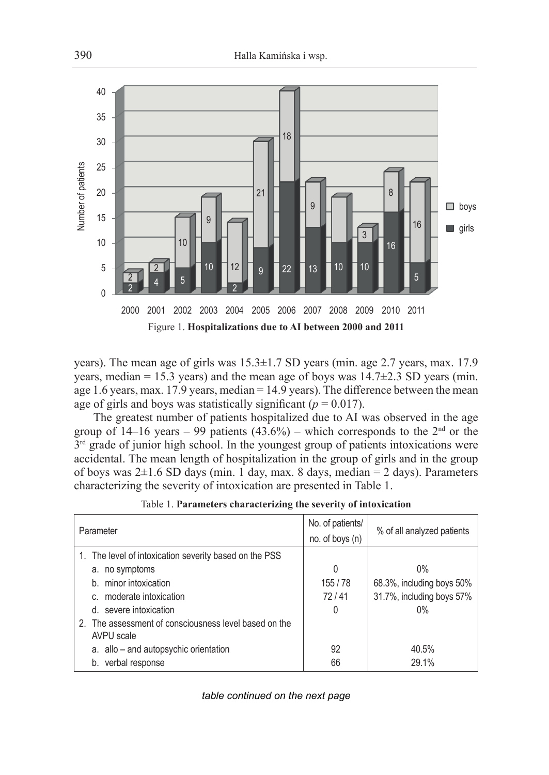

years). The mean age of girls was 15.3±1.7 SD years (min. age 2.7 years, max. 17.9 years, median = 15.3 years) and the mean age of boys was  $14.7\pm2.3$  SD years (min. age 1.6 years, max. 17.9 years, median = 14.9 years). The difference between the mean age of girls and boys was statistically significant  $(p = 0.017)$ .

The greatest number of patients hospitalized due to AI was observed in the age group of 14–16 years – 99 patients  $(43.6%)$  – which corresponds to the 2<sup>nd</sup> or the  $3<sup>rd</sup>$  grade of junior high school. In the youngest group of patients intoxications were accidental. The mean length of hospitalization in the group of girls and in the group of boys was  $2\pm 1.6$  SD days (min. 1 day, max. 8 days, median = 2 days). Parameters characterizing the severity of intoxication are presented in Table 1.

| Parameter                                                           | No. of patients/ | % of all analyzed patients |
|---------------------------------------------------------------------|------------------|----------------------------|
|                                                                     | no. of boys (n)  |                            |
| 1. The level of intoxication severity based on the PSS              |                  |                            |
| a. no symptoms                                                      | 0                | $0\%$                      |
| b. minor intoxication                                               | 155/78           | 68.3%, including boys 50%  |
| c. moderate intoxication                                            | 72/41            | 31.7%, including boys 57%  |
| d. severe intoxication                                              | 0                | 0%                         |
| 2. The assessment of consciousness level based on the<br>AVPU scale |                  |                            |
| a. allo - and autopsychic orientation                               | 92               | 40.5%                      |
| verbal response<br>b.                                               | 66               | 29.1%                      |

Table 1. **Parameters characterizing the severity of intoxication**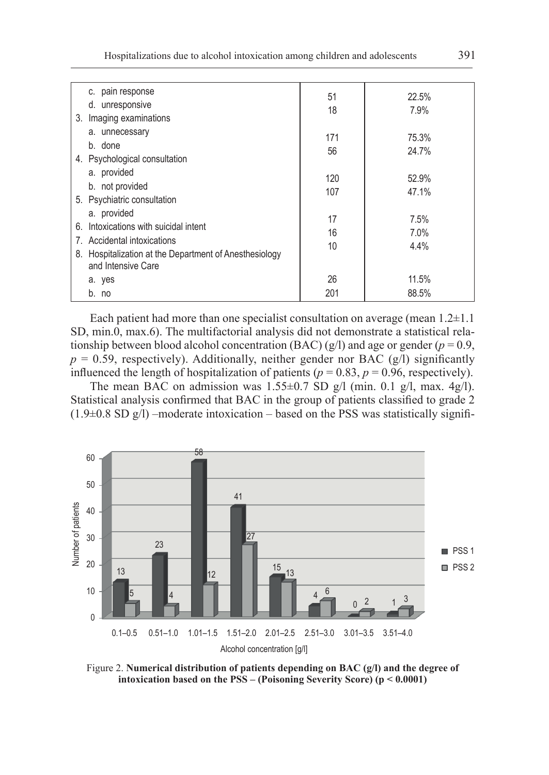| c. pain response<br>d. unresponsive<br>Imaging examinations<br>3.                                                                                | 51<br>18       | 22.5%<br>7.9%           |
|--------------------------------------------------------------------------------------------------------------------------------------------------|----------------|-------------------------|
| a. unnecessary<br>b. done<br>4. Psychological consultation                                                                                       | 171<br>56      | 75.3%<br>24.7%          |
| a. provided<br>b. not provided<br>5. Psychiatric consultation                                                                                    | 120<br>107     | 52.9%<br>47.1%          |
| a. provided<br>Intoxications with suicidal intent<br>6.<br>7. Accidental intoxications<br>8. Hospitalization at the Department of Anesthesiology | 17<br>16<br>10 | $7.5\%$<br>7.0%<br>4.4% |
| and Intensive Care<br>a. yes<br>b. no                                                                                                            | 26<br>201      | 11.5%<br>88.5%          |

Each patient had more than one specialist consultation on average (mean  $1.2 \pm 1.1$ ) SD, min.0, max.6). The multifactorial analysis did not demonstrate a statistical relationship between blood alcohol concentration (BAC) (g/l) and age or gender ( $p = 0.9$ ,  $p = 0.59$ , respectively). Additionally, neither gender nor BAC (g/l) significantly influenced the length of hospitalization of patients ( $p = 0.83$ ,  $p = 0.96$ , respectively).

The mean BAC on admission was  $1.55 \pm 0.7$  SD g/l (min. 0.1 g/l, max. 4g/l). Statistical analysis confirmed that BAC in the group of patients classified to grade 2  $(1.9\pm0.8$  SD g/l) –moderate intoxication – based on the PSS was statistically signifi-



Figure 2. **Numerical distribution of patients depending on BAC (g/l) and the degree of intoxication based on the PSS – (Poisoning Severity Score) (p < 0.0001)**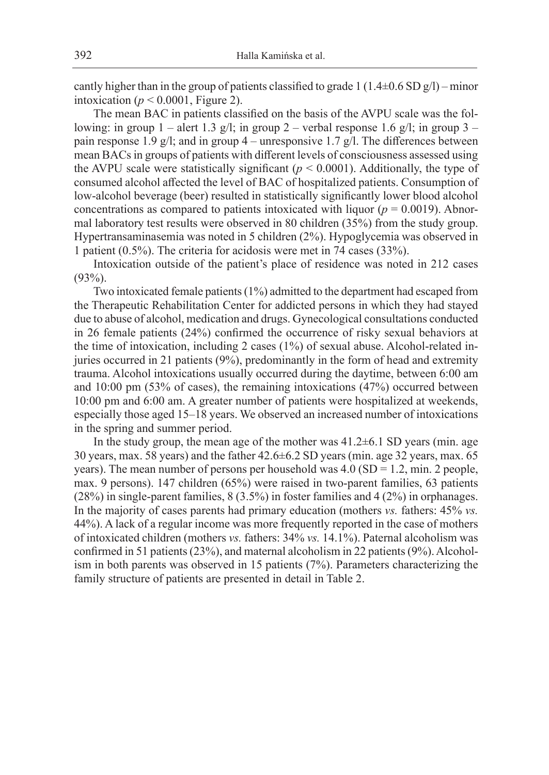cantly higher than in the group of patients classified to grade 1 ( $1.4\pm0.6$  SD g/l) – minor intoxication ( $p < 0.0001$ , Figure 2).

The mean BAC in patients classified on the basis of the AVPU scale was the following: in group 1 – alert 1.3 g/l; in group 2 – verbal response 1.6 g/l; in group 3 – pain response 1.9 g/l; and in group  $4$  – unresponsive 1.7 g/l. The differences between mean BACs in groups of patients with different levels of consciousness assessed using the AVPU scale were statistically significant  $(p < 0.0001)$ . Additionally, the type of consumed alcohol affected the level of BAC of hospitalized patients. Consumption of low-alcohol beverage (beer) resulted in statistically significantly lower blood alcohol concentrations as compared to patients intoxicated with liquor ( $p = 0.0019$ ). Abnormal laboratory test results were observed in 80 children (35%) from the study group. Hypertransaminasemia was noted in 5 children (2%). Hypoglycemia was observed in 1 patient (0.5%). The criteria for acidosis were met in 74 cases (33%).

Intoxication outside of the patient's place of residence was noted in 212 cases (93%).

Two intoxicated female patients (1%) admitted to the department had escaped from the Therapeutic Rehabilitation Center for addicted persons in which they had stayed due to abuse of alcohol, medication and drugs. Gynecological consultations conducted in 26 female patients (24%) confirmed the occurrence of risky sexual behaviors at the time of intoxication, including 2 cases (1%) of sexual abuse. Alcohol-related injuries occurred in 21 patients (9%), predominantly in the form of head and extremity trauma. Alcohol intoxications usually occurred during the daytime, between 6:00 am and 10:00 pm (53% of cases), the remaining intoxications (47%) occurred between 10:00 pm and 6:00 am. A greater number of patients were hospitalized at weekends, especially those aged 15–18 years. We observed an increased number of intoxications in the spring and summer period.

In the study group, the mean age of the mother was  $41.2\pm6.1$  SD years (min. age 30 years, max. 58 years) and the father 42.6±6.2 SD years (min. age 32 years, max. 65 years). The mean number of persons per household was  $4.0$  (SD = 1.2, min. 2 people, max. 9 persons). 147 children (65%) were raised in two-parent families, 63 patients (28%) in single-parent families, 8 (3.5%) in foster families and 4 (2%) in orphanages. In the majority of cases parents had primary education (mothers *vs.* fathers: 45% *vs.* 44%). A lack of a regular income was more frequently reported in the case of mothers of intoxicated children (mothers *vs.* fathers: 34% *vs.* 14.1%). Paternal alcoholism was confirmed in 51 patients (23%), and maternal alcoholism in 22 patients (9%). Alcoholism in both parents was observed in 15 patients (7%). Parameters characterizing the family structure of patients are presented in detail in Table 2.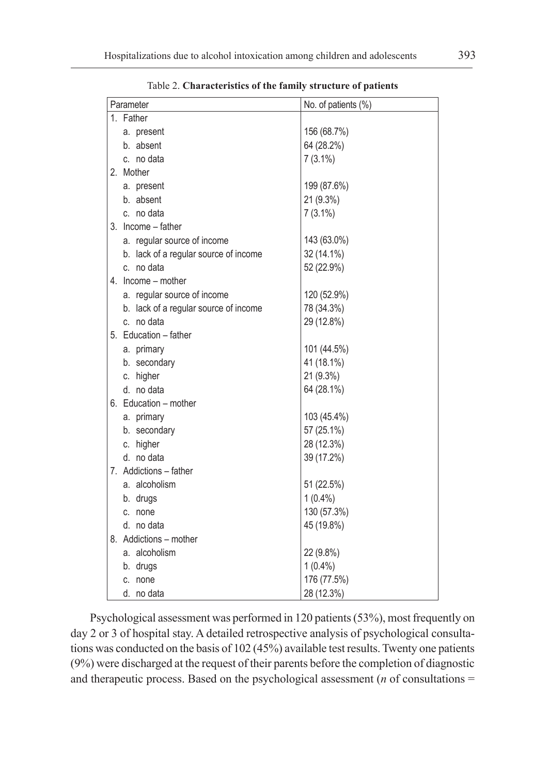| Parameter |                                       | No. of patients (%) |
|-----------|---------------------------------------|---------------------|
| 1. Father |                                       |                     |
|           | a. present                            | 156 (68.7%)         |
|           | b. absent                             | 64 (28.2%)          |
|           | c. no data                            | $7(3.1\%)$          |
| 2. Mother |                                       |                     |
|           | a. present                            | 199 (87.6%)         |
|           | b. absent                             | 21 (9.3%)           |
|           | c. no data                            | $7(3.1\%)$          |
|           | 3. Income - father                    |                     |
|           | a. regular source of income           | 143 (63.0%)         |
|           | b. lack of a regular source of income | 32 (14.1%)          |
|           | c. no data                            | 52 (22.9%)          |
|           | 4. Income - mother                    |                     |
|           | a. regular source of income           | 120 (52.9%)         |
|           | b. lack of a regular source of income | 78 (34.3%)          |
|           | c. no data                            | 29 (12.8%)          |
|           | 5. Education - father                 |                     |
|           | a. primary                            | 101 (44.5%)         |
|           | b. secondary                          | 41 (18.1%)          |
|           | c. higher                             | 21 (9.3%)           |
|           | d. no data                            | 64 (28.1%)          |
|           | 6. Education - mother                 |                     |
|           | a. primary                            | 103 (45.4%)         |
|           | b. secondary                          | 57 (25.1%)          |
|           | c. higher                             | 28 (12.3%)          |
|           | d. no data                            | 39 (17.2%)          |
|           | 7. Addictions - father                |                     |
|           | a. alcoholism                         | 51 (22.5%)          |
|           | b. drugs                              | $1(0.4\%)$          |
| c. none   |                                       | 130 (57.3%)         |
|           | d. no data                            | 45 (19.8%)          |
|           | 8. Addictions - mother                |                     |
|           | a. alcoholism                         | 22 (9.8%)           |
|           | b. drugs                              | $1(0.4\%)$          |
| c. none   |                                       | 176 (77.5%)         |
|           | d. no data                            | 28 (12.3%)          |

Table 2. **Characteristics of the family structure of patients**

Psychological assessment was performed in 120 patients (53%), most frequently on day 2 or 3 of hospital stay. A detailed retrospective analysis of psychological consultations was conducted on the basis of 102 (45%) available test results. Twenty one patients (9%) were discharged at the request of their parents before the completion of diagnostic and therapeutic process. Based on the psychological assessment (*n* of consultations =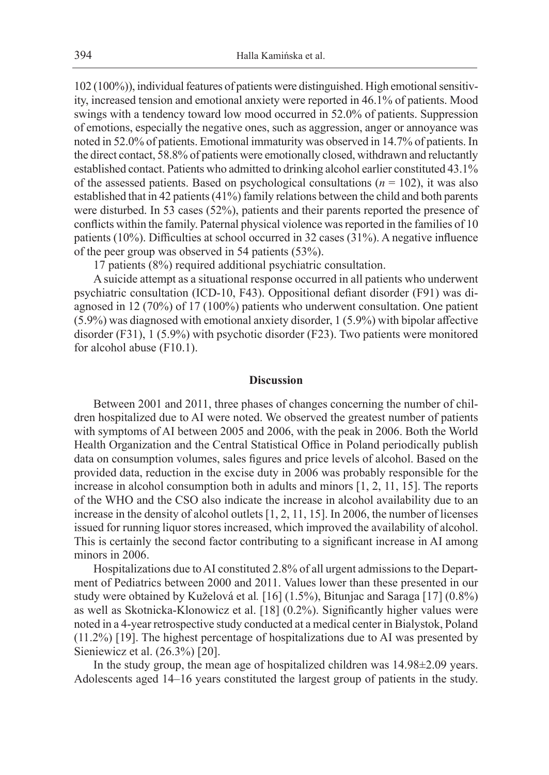102 (100%)), individual features of patients were distinguished. High emotional sensitivity, increased tension and emotional anxiety were reported in 46.1% of patients. Mood swings with a tendency toward low mood occurred in 52.0% of patients. Suppression of emotions, especially the negative ones, such as aggression, anger or annoyance was noted in 52.0% of patients. Emotional immaturity was observed in 14.7% of patients. In the direct contact, 58.8% of patients were emotionally closed, withdrawn and reluctantly established contact. Patients who admitted to drinking alcohol earlier constituted 43.1% of the assessed patients. Based on psychological consultations ( $n = 102$ ), it was also established that in 42 patients (41%) family relations between the child and both parents were disturbed. In 53 cases (52%), patients and their parents reported the presence of conflicts within the family. Paternal physical violence was reported in the families of 10 patients (10%). Difficulties at school occurred in 32 cases (31%). A negative influence of the peer group was observed in 54 patients (53%).

17 patients (8%) required additional psychiatric consultation.

A suicide attempt as a situational response occurred in all patients who underwent psychiatric consultation (ICD-10, F43). Oppositional defiant disorder (F91) was diagnosed in 12 (70%) of 17 (100%) patients who underwent consultation. One patient (5.9%) was diagnosed with emotional anxiety disorder, 1 (5.9%) with bipolar affective disorder (F31), 1 (5.9%) with psychotic disorder (F23). Two patients were monitored for alcohol abuse (F10.1).

## **Discussion**

Between 2001 and 2011, three phases of changes concerning the number of children hospitalized due to AI were noted. We observed the greatest number of patients with symptoms of AI between 2005 and 2006, with the peak in 2006. Both the World Health Organization and the Central Statistical Office in Poland periodically publish data on consumption volumes, sales figures and price levels of alcohol. Based on the provided data, reduction in the excise duty in 2006 was probably responsible for the increase in alcohol consumption both in adults and minors [1, 2, 11, 15]. The reports of the WHO and the CSO also indicate the increase in alcohol availability due to an increase in the density of alcohol outlets [1, 2, 11, 15]. In 2006, the number of licenses issued for running liquor stores increased, which improved the availability of alcohol. This is certainly the second factor contributing to a significant increase in AI among minors in 2006.

Hospitalizations due to AI constituted 2.8% of all urgent admissions to the Department of Pediatrics between 2000 and 2011. Values lower than these presented in our study were obtained by Kuželová et al*.* [16] (1.5%), Bitunjac and Saraga [17] (0.8%) as well as Skotnicka-Klonowicz et al. [18] (0.2%). Significantly higher values were noted in a 4-year retrospective study conducted at a medical center in Bialystok, Poland (11.2%) [19]. The highest percentage of hospitalizations due to AI was presented by Sieniewicz et al. (26.3%) [20].

In the study group, the mean age of hospitalized children was 14.98±2.09 years. Adolescents aged 14–16 years constituted the largest group of patients in the study.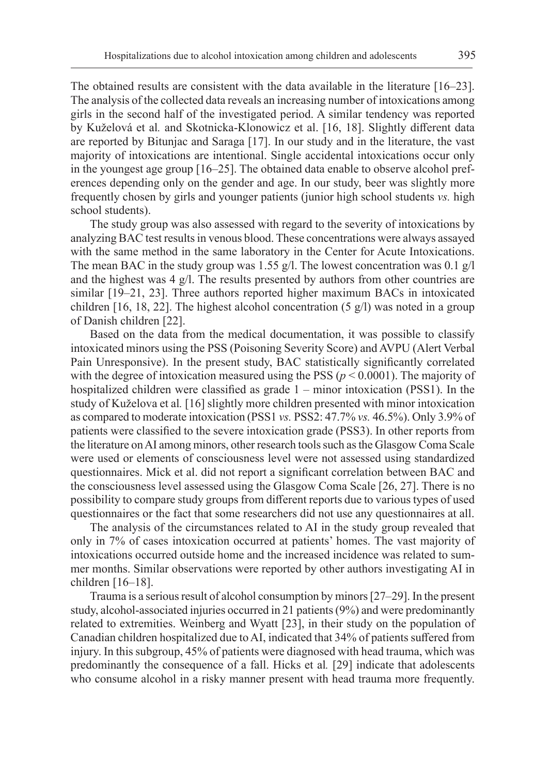The obtained results are consistent with the data available in the literature [16–23]. The analysis of the collected data reveals an increasing number of intoxications among girls in the second half of the investigated period. A similar tendency was reported by Kuželová et al*.* and Skotnicka-Klonowicz et al. [16, 18]. Slightly different data are reported by Bitunjac and Saraga [17]. In our study and in the literature, the vast majority of intoxications are intentional. Single accidental intoxications occur only in the youngest age group [16–25]. The obtained data enable to observe alcohol preferences depending only on the gender and age. In our study, beer was slightly more frequently chosen by girls and younger patients (junior high school students *vs.* high school students).

The study group was also assessed with regard to the severity of intoxications by analyzing BAC test results in venous blood. These concentrations were always assayed with the same method in the same laboratory in the Center for Acute Intoxications. The mean BAC in the study group was 1.55 g/l. The lowest concentration was 0.1 g/l and the highest was 4 g/l. The results presented by authors from other countries are similar [19–21, 23]. Three authors reported higher maximum BACs in intoxicated children [16, 18, 22]. The highest alcohol concentration (5  $g$ /l) was noted in a group of Danish children [22].

Based on the data from the medical documentation, it was possible to classify intoxicated minors using the PSS (Poisoning Severity Score) and AVPU (Alert Verbal Pain Unresponsive). In the present study, BAC statistically significantly correlated with the degree of intoxication measured using the PSS (*p* < 0.0001). The majority of hospitalized children were classified as grade 1 – minor intoxication (PSS1). In the study of Kuželova et al*.* [16] slightly more children presented with minor intoxication as compared to moderate intoxication (PSS1 *vs.* PSS2: 47.7% *vs.* 46.5%). Only 3.9% of patients were classified to the severe intoxication grade (PSS3). In other reports from the literature on AI among minors, other research tools such as the Glasgow Coma Scale were used or elements of consciousness level were not assessed using standardized questionnaires. Mick et al. did not report a significant correlation between BAC and the consciousness level assessed using the Glasgow Coma Scale [26, 27]. There is no possibility to compare study groups from different reports due to various types of used questionnaires or the fact that some researchers did not use any questionnaires at all.

The analysis of the circumstances related to AI in the study group revealed that only in 7% of cases intoxication occurred at patients' homes. The vast majority of intoxications occurred outside home and the increased incidence was related to summer months. Similar observations were reported by other authors investigating AI in children [16–18].

Trauma is a serious result of alcohol consumption by minors [27–29]. In the present study, alcohol-associated injuries occurred in 21 patients (9%) and were predominantly related to extremities. Weinberg and Wyatt [23], in their study on the population of Canadian children hospitalized due to AI, indicated that 34% of patients suffered from injury. In this subgroup, 45% of patients were diagnosed with head trauma, which was predominantly the consequence of a fall. Hicks et al*.* [29] indicate that adolescents who consume alcohol in a risky manner present with head trauma more frequently.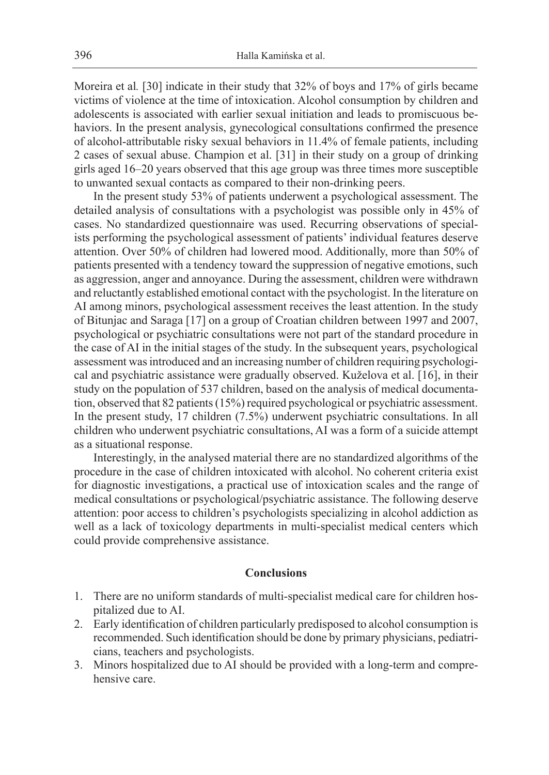Moreira et al*.* [30] indicate in their study that 32% of boys and 17% of girls became victims of violence at the time of intoxication. Alcohol consumption by children and adolescents is associated with earlier sexual initiation and leads to promiscuous behaviors. In the present analysis, gynecological consultations confirmed the presence of alcohol-attributable risky sexual behaviors in 11.4% of female patients, including 2 cases of sexual abuse. Champion et al. [31] in their study on a group of drinking girls aged 16–20 years observed that this age group was three times more susceptible to unwanted sexual contacts as compared to their non-drinking peers.

In the present study 53% of patients underwent a psychological assessment. The detailed analysis of consultations with a psychologist was possible only in 45% of cases. No standardized questionnaire was used. Recurring observations of specialists performing the psychological assessment of patients' individual features deserve attention. Over 50% of children had lowered mood. Additionally, more than 50% of patients presented with a tendency toward the suppression of negative emotions, such as aggression, anger and annoyance. During the assessment, children were withdrawn and reluctantly established emotional contact with the psychologist. In the literature on AI among minors, psychological assessment receives the least attention. In the study of Bitunjac and Saraga [17] on a group of Croatian children between 1997 and 2007, psychological or psychiatric consultations were not part of the standard procedure in the case of AI in the initial stages of the study. In the subsequent years, psychological assessment was introduced and an increasing number of children requiring psychological and psychiatric assistance were gradually observed. Kuželova et al. [16], in their study on the population of 537 children, based on the analysis of medical documentation, observed that 82 patients (15%) required psychological or psychiatric assessment. In the present study, 17 children (7.5%) underwent psychiatric consultations. In all children who underwent psychiatric consultations, AI was a form of a suicide attempt as a situational response.

Interestingly, in the analysed material there are no standardized algorithms of the procedure in the case of children intoxicated with alcohol. No coherent criteria exist for diagnostic investigations, a practical use of intoxication scales and the range of medical consultations or psychological/psychiatric assistance. The following deserve attention: poor access to children's psychologists specializing in alcohol addiction as well as a lack of toxicology departments in multi-specialist medical centers which could provide comprehensive assistance.

## **Conclusions**

- 1. There are no uniform standards of multi-specialist medical care for children hospitalized due to AI.
- 2. Early identification of children particularly predisposed to alcohol consumption is recommended. Such identification should be done by primary physicians, pediatricians, teachers and psychologists.
- 3. Minors hospitalized due to AI should be provided with a long-term and comprehensive care.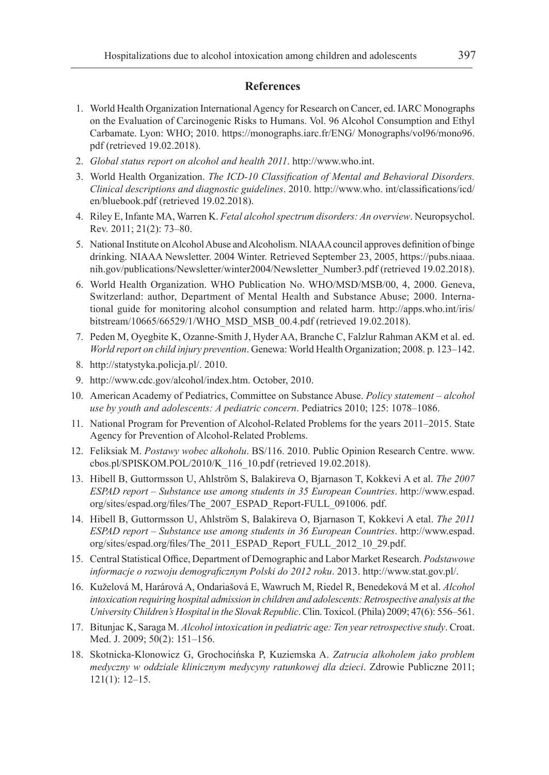# **References**

- 1. World Health Organization International Agency for Research on Cancer, ed. IARC Monographs on the Evaluation of Carcinogenic Risks to Humans. Vol. 96 Alcohol Consumption and Ethyl Carbamate. Lyon: WHO; 2010. https://monographs.iarc.fr/ENG/ Monographs/vol96/mono96. pdf (retrieved 19.02.2018).
- 2. *Global status report on alcohol and health 2011*. http://www.who.int.
- 3. World Health Organization. *The ICD-10 Classification of Mental and Behavioral Disorders. Clinical descriptions and diagnostic guidelines*. 2010. http://www.who. int/classifications/icd/ en/bluebook.pdf (retrieved 19.02.2018).
- 4. Riley E, Infante MA, Warren K. *Fetal alcohol spectrum disorders: An overview*. Neuropsychol. Rev. 2011; 21(2): 73–80.
- 5. National Institute on Alcohol Abuse and Alcoholism. NIAAA council approves definition of binge drinking. NIAAA Newsletter. 2004 Winter. Retrieved September 23, 2005, https://pubs.niaaa. nih.gov/publications/Newsletter/winter2004/Newsletter\_Number3.pdf (retrieved 19.02.2018).
- 6. World Health Organization. WHO Publication No. WHO/MSD/MSB/00, 4, 2000. Geneva, Switzerland: author, Department of Mental Health and Substance Abuse; 2000. International guide for monitoring alcohol consumption and related harm. http://apps.who.int/iris/ bitstream/10665/66529/1/WHO\_MSD\_MSB\_00.4.pdf (retrieved 19.02.2018).
- 7. Peden M, Oyegbite K, Ozanne-Smith J, Hyder AA, Branche C, Falzlur Rahman AKM et al. ed. *World report on child injury prevention*. Genewa: World Health Organization; 2008. p. 123–142.
- 8. http://statystyka.policja.pl/. 2010.
- 9. http://www.cdc.gov/alcohol/index.htm. October, 2010.
- 10. American Academy of Pediatrics, Committee on Substance Abuse. *Policy statement alcohol use by youth and adolescents: A pediatric concern*. Pediatrics 2010; 125: 1078–1086.
- 11. National Program for Prevention of Alcohol-Related Problems for the years 2011–2015. State Agency for Prevention of Alcohol-Related Problems.
- 12. Feliksiak M. *Postawy wobec alkoholu*. BS/116. 2010. Public Opinion Research Centre. www. cbos.pl/SPISKOM.POL/2010/K\_116\_10.pdf (retrieved 19.02.2018).
- 13. Hibell B, Guttormsson U, Ahlström S, Balakireva O, Bjarnason T, Kokkevi A et al. *The 2007 ESPAD report – Substance use among students in 35 European Countries*. http://www.espad. org/sites/espad.org/files/The\_2007\_ESPAD\_Report-FULL\_091006. pdf.
- 14. Hibell B, Guttormsson U, Ahlström S, Balakireva O, Bjarnason T, Kokkevi A etal. *The 2011 ESPAD report – Substance use among students in 36 European Countries*. http://www.espad. org/sites/espad.org/files/The\_2011\_ESPAD\_Report\_FULL\_2012\_10\_29.pdf.
- 15. Central Statistical Office, Department of Demographic and Labor Market Research. *Podstawowe informacje o rozwoju demograficznym Polski do 2012 roku*. 2013. http://www.stat.gov.pl/.
- 16. Kuželová M, Harárová A, Ondariašová E, Wawruch M, Riedel R, Benedeková M et al. *Alcohol intoxication requiring hospital admission in children and adolescents: Retrospective analysis at the University Children's Hospital in the Slovak Republic*. Clin. Toxicol. (Phila) 2009; 47(6): 556–561.
- 17. Bitunjac K, Saraga M. *Alcohol intoxication in pediatric age: Ten year retrospective study*. Croat. Med. J. 2009; 50(2): 151–156.
- 18. Skotnicka-Klonowicz G, Grochocińska P, Kuziemska A. *Zatrucia alkoholem jako problem medyczny w oddziale klinicznym medycyny ratunkowej dla dzieci*. Zdrowie Publiczne 2011; 121(1): 12–15.